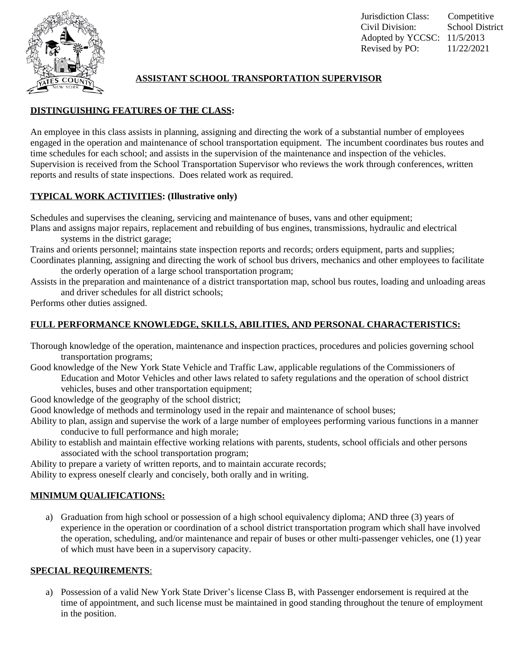

# **ASSISTANT SCHOOL TRANSPORTATION SUPERVISOR**

## **DISTINGUISHING FEATURES OF THE CLASS:**

An employee in this class assists in planning, assigning and directing the work of a substantial number of employees engaged in the operation and maintenance of school transportation equipment. The incumbent coordinates bus routes and time schedules for each school; and assists in the supervision of the maintenance and inspection of the vehicles. Supervision is received from the School Transportation Supervisor who reviews the work through conferences, written reports and results of state inspections. Does related work as required.

## **TYPICAL WORK ACTIVITIES: (Illustrative only)**

Schedules and supervises the cleaning, servicing and maintenance of buses, vans and other equipment;

Plans and assigns major repairs, replacement and rebuilding of bus engines, transmissions, hydraulic and electrical systems in the district garage;

Trains and orients personnel; maintains state inspection reports and records; orders equipment, parts and supplies; Coordinates planning, assigning and directing the work of school bus drivers, mechanics and other employees to facilitate

the orderly operation of a large school transportation program;

Assists in the preparation and maintenance of a district transportation map, school bus routes, loading and unloading areas and driver schedules for all district schools;

Performs other duties assigned.

## **FULL PERFORMANCE KNOWLEDGE, SKILLS, ABILITIES, AND PERSONAL CHARACTERISTICS:**

Thorough knowledge of the operation, maintenance and inspection practices, procedures and policies governing school transportation programs;

Good knowledge of the New York State Vehicle and Traffic Law, applicable regulations of the Commissioners of Education and Motor Vehicles and other laws related to safety regulations and the operation of school district vehicles, buses and other transportation equipment;

Good knowledge of the geography of the school district;

Good knowledge of methods and terminology used in the repair and maintenance of school buses;

- Ability to plan, assign and supervise the work of a large number of employees performing various functions in a manner conducive to full performance and high morale;
- Ability to establish and maintain effective working relations with parents, students, school officials and other persons associated with the school transportation program;

Ability to prepare a variety of written reports, and to maintain accurate records;

Ability to express oneself clearly and concisely, both orally and in writing.

## **MINIMUM QUALIFICATIONS:**

a) Graduation from high school or possession of a high school equivalency diploma; AND three (3) years of experience in the operation or coordination of a school district transportation program which shall have involved the operation, scheduling, and/or maintenance and repair of buses or other multi-passenger vehicles, one (1) year of which must have been in a supervisory capacity.

### **SPECIAL REQUIREMENTS**:

a) Possession of a valid New York State Driver's license Class B, with Passenger endorsement is required at the time of appointment, and such license must be maintained in good standing throughout the tenure of employment in the position.